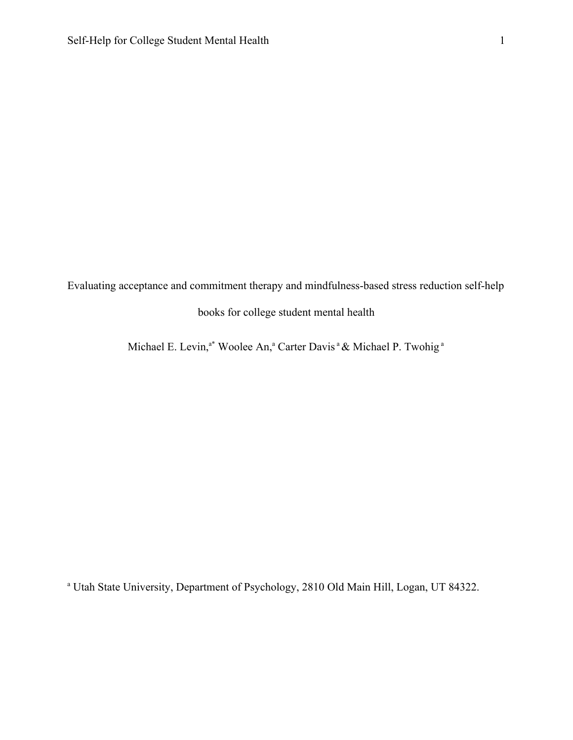Evaluating acceptance and commitment therapy and mindfulness-based stress reduction self-help books for college student mental health

Michael E. Levin,<sup>a\*</sup> Woolee An,<sup>a</sup> Carter Davis <sup>a</sup> & Michael P. Twohig <sup>a</sup>

<sup>a</sup> Utah State University, Department of Psychology, 2810 Old Main Hill, Logan, UT 84322.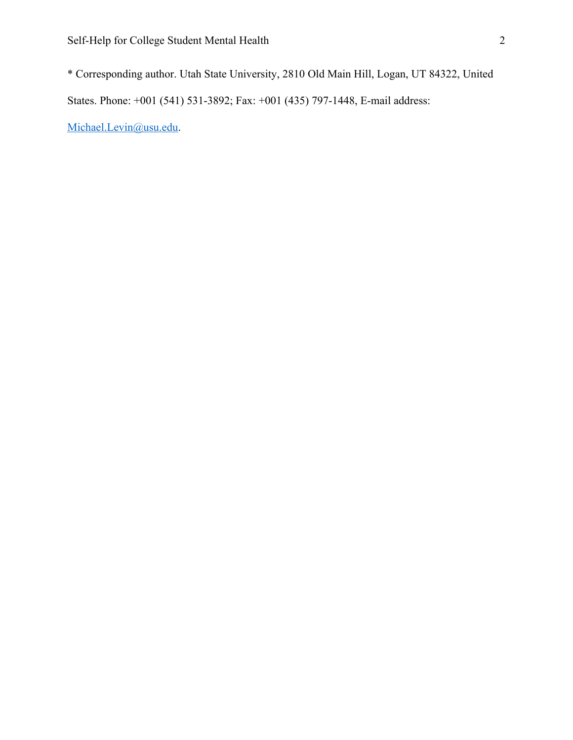\* Corresponding author. Utah State University, 2810 Old Main Hill, Logan, UT 84322, United States. Phone: +001 (541) 531-3892; Fax: +001 (435) 797-1448, E-mail address:

[Michael.Levin@usu.edu](mailto:Michael.Levin@usu.edu).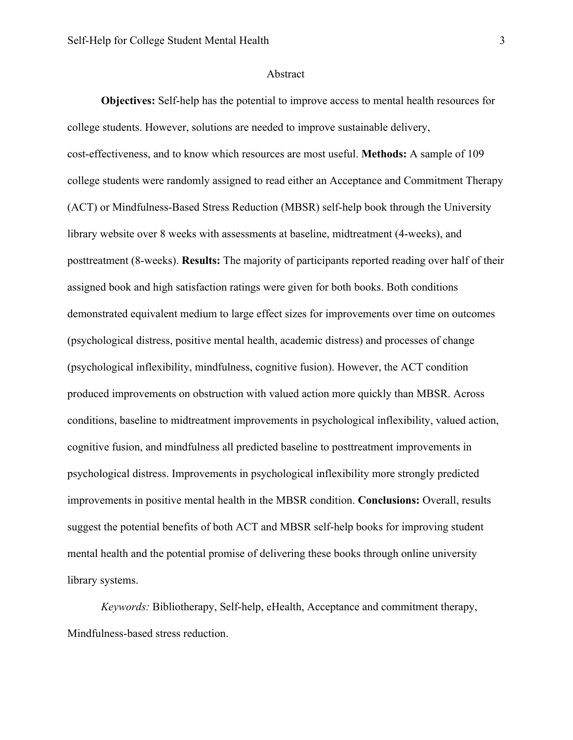#### Abstract

**Objectives:** Self-help has the potential to improve access to mental health resources for college students. However, solutions are needed to improve sustainable delivery, cost-effectiveness, and to know which resources are most useful. **Methods:** A sample of 109 college students were randomly assigned to read either an Acceptance and Commitment Therapy (ACT) or Mindfulness-Based Stress Reduction (MBSR) self-help book through the University library website over 8 weeks with assessments at baseline, midtreatment (4-weeks), and posttreatment (8-weeks). **Results:** The majority of participants reported reading over half of their assigned book and high satisfaction ratings were given for both books. Both conditions demonstrated equivalent medium to large effect sizes for improvements over time on outcomes (psychological distress, positive mental health, academic distress) and processes of change (psychological inflexibility, mindfulness, cognitive fusion). However, the ACT condition produced improvements on obstruction with valued action more quickly than MBSR. Across conditions, baseline to midtreatment improvements in psychological inflexibility, valued action, cognitive fusion, and mindfulness all predicted baseline to posttreatment improvements in psychological distress. Improvements in psychological inflexibility more strongly predicted improvements in positive mental health in the MBSR condition. **Conclusions:** Overall, results suggest the potential benefits of both ACT and MBSR self-help books for improving student mental health and the potential promise of delivering these books through online university library systems.

*Keywords:* Bibliotherapy, Self-help, eHealth, Acceptance and commitment therapy, Mindfulness-based stress reduction.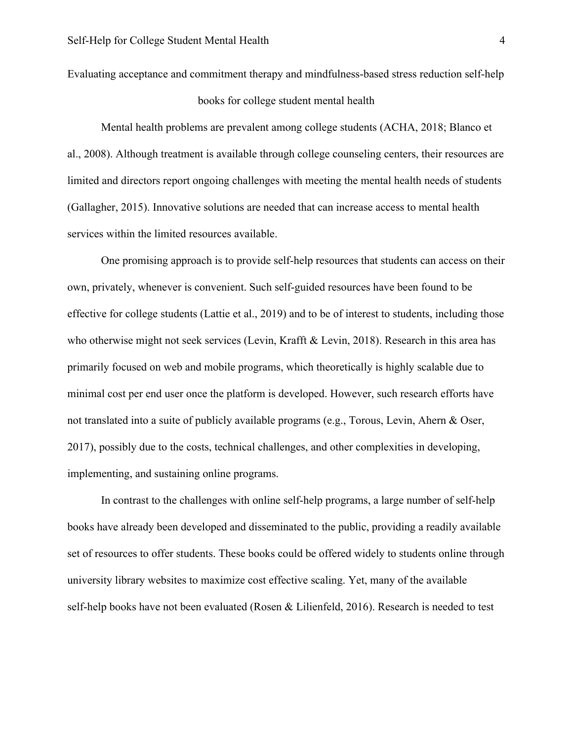Evaluating acceptance and commitment therapy and mindfulness-based stress reduction self-help books for college student mental health

Mental health problems are prevalent among college students (ACHA, 2018; Blanco et al., 2008). Although treatment is available through college counseling centers, their resources are limited and directors report ongoing challenges with meeting the mental health needs of students (Gallagher, 2015). Innovative solutions are needed that can increase access to mental health services within the limited resources available.

One promising approach is to provide self-help resources that students can access on their own, privately, whenever is convenient. Such self-guided resources have been found to be effective for college students (Lattie et al., 2019) and to be of interest to students, including those who otherwise might not seek services (Levin, Krafft & Levin, 2018). Research in this area has primarily focused on web and mobile programs, which theoretically is highly scalable due to minimal cost per end user once the platform is developed. However, such research efforts have not translated into a suite of publicly available programs (e.g., Torous, Levin, Ahern & Oser, 2017), possibly due to the costs, technical challenges, and other complexities in developing, implementing, and sustaining online programs.

In contrast to the challenges with online self-help programs, a large number of self-help books have already been developed and disseminated to the public, providing a readily available set of resources to offer students. These books could be offered widely to students online through university library websites to maximize cost effective scaling. Yet, many of the available self-help books have not been evaluated (Rosen & Lilienfeld, 2016). Research is needed to test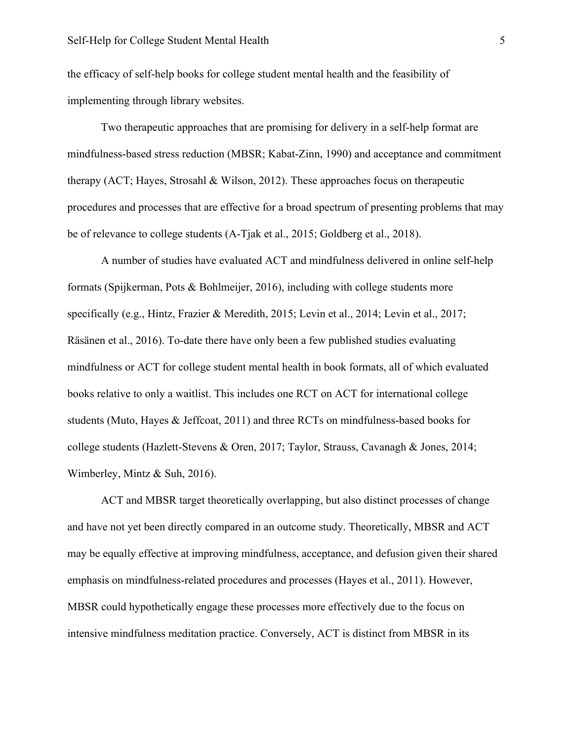the efficacy of self-help books for college student mental health and the feasibility of implementing through library websites.

Two therapeutic approaches that are promising for delivery in a self-help format are mindfulness-based stress reduction (MBSR; Kabat-Zinn, 1990) and acceptance and commitment therapy (ACT; Hayes, Strosahl & Wilson, 2012). These approaches focus on therapeutic procedures and processes that are effective for a broad spectrum of presenting problems that may be of relevance to college students (A-Tjak et al., 2015; Goldberg et al., 2018).

A number of studies have evaluated ACT and mindfulness delivered in online self-help formats (Spijkerman, Pots & Bohlmeijer, 2016), including with college students more specifically (e.g., Hintz, Frazier & Meredith, 2015; Levin et al., 2014; Levin et al., 2017; Räsänen et al., 2016). To-date there have only been a few published studies evaluating mindfulness or ACT for college student mental health in book formats, all of which evaluated books relative to only a waitlist. This includes one RCT on ACT for international college students (Muto, Hayes & Jeffcoat, 2011) and three RCTs on mindfulness-based books for college students (Hazlett-Stevens & Oren, 2017; Taylor, Strauss, Cavanagh & Jones, 2014; Wimberley, Mintz & Suh, 2016).

ACT and MBSR target theoretically overlapping, but also distinct processes of change and have not yet been directly compared in an outcome study. Theoretically, MBSR and ACT may be equally effective at improving mindfulness, acceptance, and defusion given their shared emphasis on mindfulness-related procedures and processes (Hayes et al., 2011). However, MBSR could hypothetically engage these processes more effectively due to the focus on intensive mindfulness meditation practice. Conversely, ACT is distinct from MBSR in its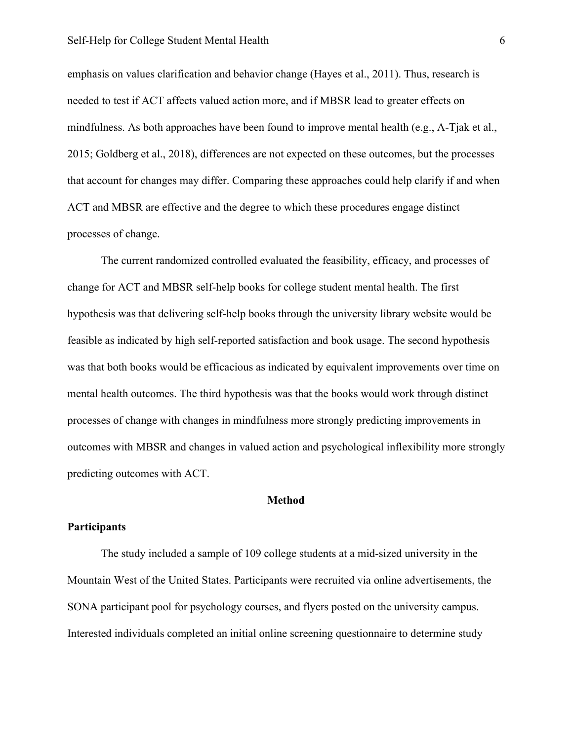#### Self-Help for College Student Mental Health 6

emphasis on values clarification and behavior change (Hayes et al., 2011). Thus, research is needed to test if ACT affects valued action more, and if MBSR lead to greater effects on mindfulness. As both approaches have been found to improve mental health (e.g., A-Tjak et al., 2015; Goldberg et al., 2018), differences are not expected on these outcomes, but the processes that account for changes may differ. Comparing these approaches could help clarify if and when ACT and MBSR are effective and the degree to which these procedures engage distinct processes of change.

The current randomized controlled evaluated the feasibility, efficacy, and processes of change for ACT and MBSR self-help books for college student mental health. The first hypothesis was that delivering self-help books through the university library website would be feasible as indicated by high self-reported satisfaction and book usage. The second hypothesis was that both books would be efficacious as indicated by equivalent improvements over time on mental health outcomes. The third hypothesis was that the books would work through distinct processes of change with changes in mindfulness more strongly predicting improvements in outcomes with MBSR and changes in valued action and psychological inflexibility more strongly predicting outcomes with ACT.

# **Method**

#### **Participants**

The study included a sample of 109 college students at a mid-sized university in the Mountain West of the United States. Participants were recruited via online advertisements, the SONA participant pool for psychology courses, and flyers posted on the university campus. Interested individuals completed an initial online screening questionnaire to determine study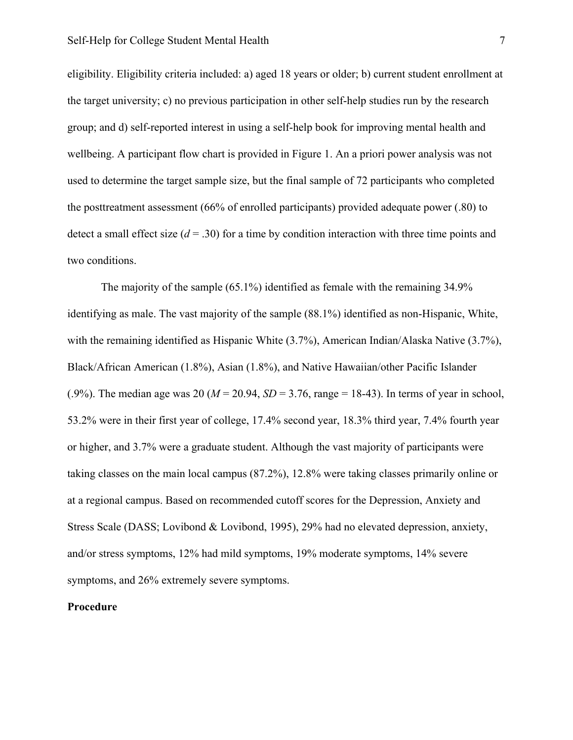eligibility. Eligibility criteria included: a) aged 18 years or older; b) current student enrollment at the target university; c) no previous participation in other self-help studies run by the research group; and d) self-reported interest in using a self-help book for improving mental health and wellbeing. A participant flow chart is provided in Figure 1. An a priori power analysis was not used to determine the target sample size, but the final sample of 72 participants who completed the posttreatment assessment (66% of enrolled participants) provided adequate power (.80) to detect a small effect size  $(d = .30)$  for a time by condition interaction with three time points and two conditions.

The majority of the sample (65.1%) identified as female with the remaining 34.9% identifying as male. The vast majority of the sample (88.1%) identified as non-Hispanic, White, with the remaining identified as Hispanic White (3.7%), American Indian/Alaska Native (3.7%), Black/African American (1.8%), Asian (1.8%), and Native Hawaiian/other Pacific Islander (.9%). The median age was 20 ( $M = 20.94$ ,  $SD = 3.76$ , range = 18-43). In terms of year in school, 53.2% were in their first year of college, 17.4% second year, 18.3% third year, 7.4% fourth year or higher, and 3.7% were a graduate student. Although the vast majority of participants were taking classes on the main local campus (87.2%), 12.8% were taking classes primarily online or at a regional campus. Based on recommended cutoff scores for the Depression, Anxiety and Stress Scale (DASS; Lovibond & Lovibond, 1995), 29% had no elevated depression, anxiety, and/or stress symptoms, 12% had mild symptoms, 19% moderate symptoms, 14% severe symptoms, and 26% extremely severe symptoms.

# **Procedure**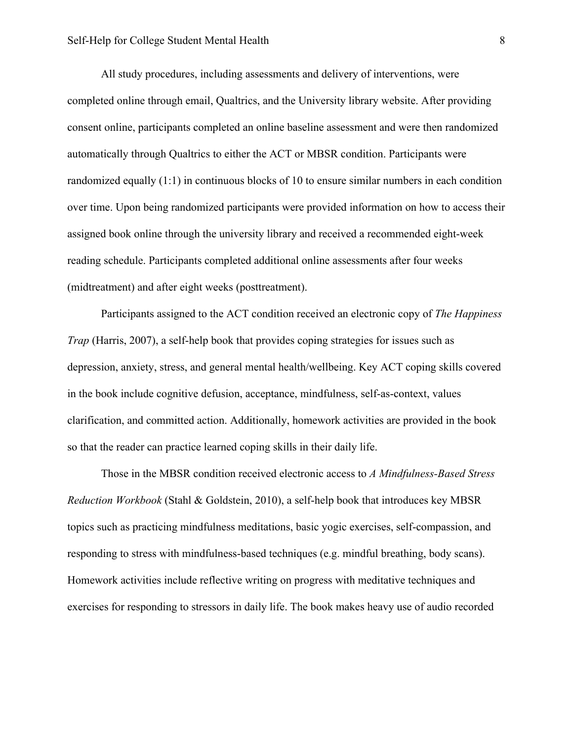All study procedures, including assessments and delivery of interventions, were completed online through email, Qualtrics, and the University library website. After providing consent online, participants completed an online baseline assessment and were then randomized automatically through Qualtrics to either the ACT or MBSR condition. Participants were randomized equally (1:1) in continuous blocks of 10 to ensure similar numbers in each condition over time. Upon being randomized participants were provided information on how to access their assigned book online through the university library and received a recommended eight-week reading schedule. Participants completed additional online assessments after four weeks (midtreatment) and after eight weeks (posttreatment).

Participants assigned to the ACT condition received an electronic copy of *The Happiness Trap* (Harris, 2007), a self-help book that provides coping strategies for issues such as depression, anxiety, stress, and general mental health/wellbeing. Key ACT coping skills covered in the book include cognitive defusion, acceptance, mindfulness, self-as-context, values clarification, and committed action. Additionally, homework activities are provided in the book so that the reader can practice learned coping skills in their daily life.

Those in the MBSR condition received electronic access to *A Mindfulness-Based Stress Reduction Workbook* (Stahl & Goldstein, 2010), a self-help book that introduces key MBSR topics such as practicing mindfulness meditations, basic yogic exercises, self-compassion, and responding to stress with mindfulness-based techniques (e.g. mindful breathing, body scans). Homework activities include reflective writing on progress with meditative techniques and exercises for responding to stressors in daily life. The book makes heavy use of audio recorded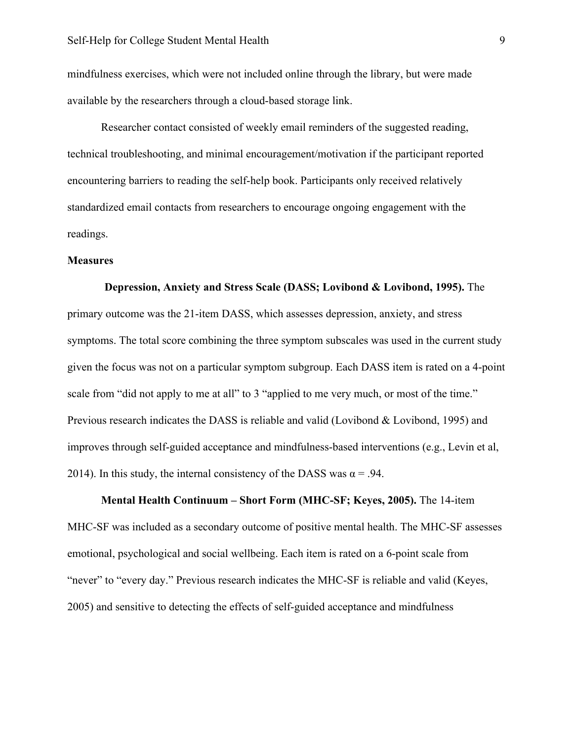mindfulness exercises, which were not included online through the library, but were made available by the researchers through a cloud-based storage link.

Researcher contact consisted of weekly email reminders of the suggested reading, technical troubleshooting, and minimal encouragement/motivation if the participant reported encountering barriers to reading the self-help book. Participants only received relatively standardized email contacts from researchers to encourage ongoing engagement with the readings.

#### **Measures**

# **Depression, Anxiety and Stress Scale (DASS; Lovibond & Lovibond, 1995).** The primary outcome was the 21-item DASS, which assesses depression, anxiety, and stress symptoms. The total score combining the three symptom subscales was used in the current study given the focus was not on a particular symptom subgroup. Each DASS item is rated on a 4-point scale from "did not apply to me at all" to 3 "applied to me very much, or most of the time." Previous research indicates the DASS is reliable and valid (Lovibond & Lovibond, 1995) and improves through self-guided acceptance and mindfulness-based interventions (e.g., Levin et al, 2014). In this study, the internal consistency of the DASS was  $\alpha$  = .94.

**Mental Health Continuum – Short Form (MHC-SF; Keyes, 2005).** The 14-item MHC-SF was included as a secondary outcome of positive mental health. The MHC-SF assesses emotional, psychological and social wellbeing. Each item is rated on a 6-point scale from "never" to "every day." Previous research indicates the MHC-SF is reliable and valid (Keyes, 2005) and sensitive to detecting the effects of self-guided acceptance and mindfulness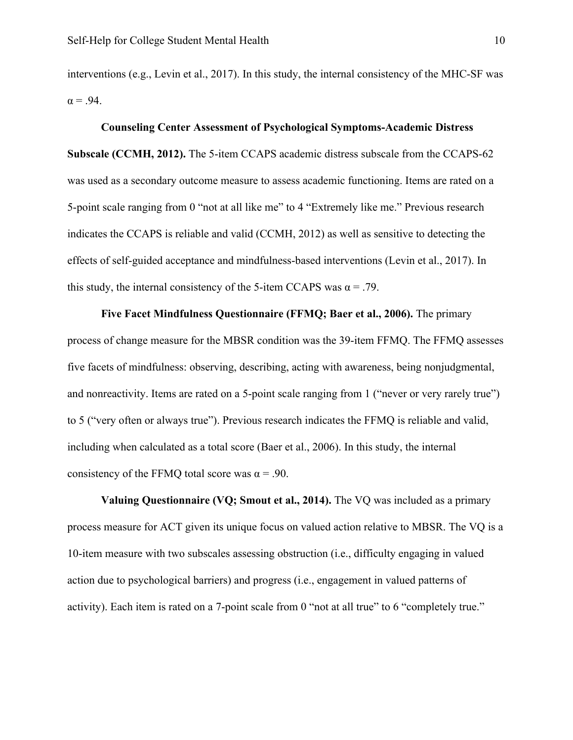interventions (e.g., Levin et al., 2017). In this study, the internal consistency of the MHC-SF was  $\alpha = .94$ .

#### **Counseling Center Assessment of Psychological Symptoms-Academic Distress**

**Subscale (CCMH, 2012).** The 5-item CCAPS academic distress subscale from the CCAPS-62 was used as a secondary outcome measure to assess academic functioning. Items are rated on a 5-point scale ranging from 0 "not at all like me" to 4 "Extremely like me." Previous research indicates the CCAPS is reliable and valid (CCMH, 2012) as well as sensitive to detecting the effects of self-guided acceptance and mindfulness-based interventions (Levin et al., 2017). In this study, the internal consistency of the 5-item CCAPS was  $\alpha = .79$ .

**Five Facet Mindfulness Questionnaire (FFMQ; Baer et al., 2006).** The primary process of change measure for the MBSR condition was the 39-item FFMQ. The FFMQ assesses five facets of mindfulness: observing, describing, acting with awareness, being nonjudgmental, and nonreactivity. Items are rated on a 5-point scale ranging from 1 ("never or very rarely true") to 5 ("very often or always true"). Previous research indicates the FFMQ is reliable and valid, including when calculated as a total score (Baer et al., 2006). In this study, the internal consistency of the FFMQ total score was  $\alpha$  = .90.

**Valuing Questionnaire (VQ; Smout et al., 2014).** The VQ was included as a primary process measure for ACT given its unique focus on valued action relative to MBSR. The VQ is a 10-item measure with two subscales assessing obstruction (i.e., difficulty engaging in valued action due to psychological barriers) and progress (i.e., engagement in valued patterns of activity). Each item is rated on a 7-point scale from 0 "not at all true" to 6 "completely true."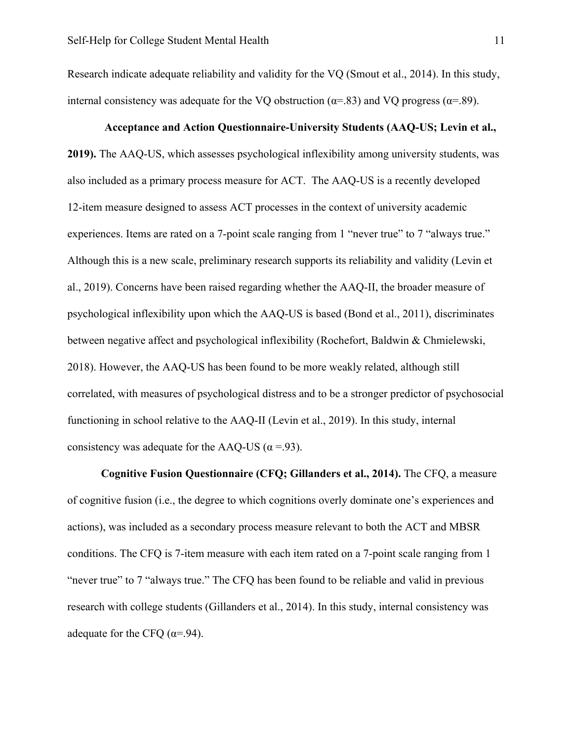Research indicate adequate reliability and validity for the VQ (Smout et al., 2014). In this study, internal consistency was adequate for the VQ obstruction ( $\alpha$ =.83) and VQ progress ( $\alpha$ =.89).

#### **Acceptance and Action Questionnaire-University Students (AAQ-US; Levin et al.,**

**2019).** The AAQ-US, which assesses psychological inflexibility among university students, was also included as a primary process measure for ACT. The AAQ-US is a recently developed 12-item measure designed to assess ACT processes in the context of university academic experiences. Items are rated on a 7-point scale ranging from 1 "never true" to 7 "always true." Although this is a new scale, preliminary research supports its reliability and validity (Levin et al., 2019). Concerns have been raised regarding whether the AAQ-II, the broader measure of psychological inflexibility upon which the AAQ-US is based (Bond et al., 2011), discriminates between negative affect and psychological inflexibility (Rochefort, Baldwin & Chmielewski, 2018). However, the AAQ-US has been found to be more weakly related, although still correlated, with measures of psychological distress and to be a stronger predictor of psychosocial functioning in school relative to the AAQ-II (Levin et al., 2019). In this study, internal consistency was adequate for the AAQ-US ( $\alpha$  =.93).

**Cognitive Fusion Questionnaire (CFQ; Gillanders et al., 2014).** The CFQ, a measure of cognitive fusion (i.e., the degree to which cognitions overly dominate one's experiences and actions), was included as a secondary process measure relevant to both the ACT and MBSR conditions. The CFQ is 7-item measure with each item rated on a 7-point scale ranging from 1 "never true" to 7 "always true." The CFQ has been found to be reliable and valid in previous research with college students (Gillanders et al., 2014). In this study, internal consistency was adequate for the CFQ  $(\alpha = .94)$ .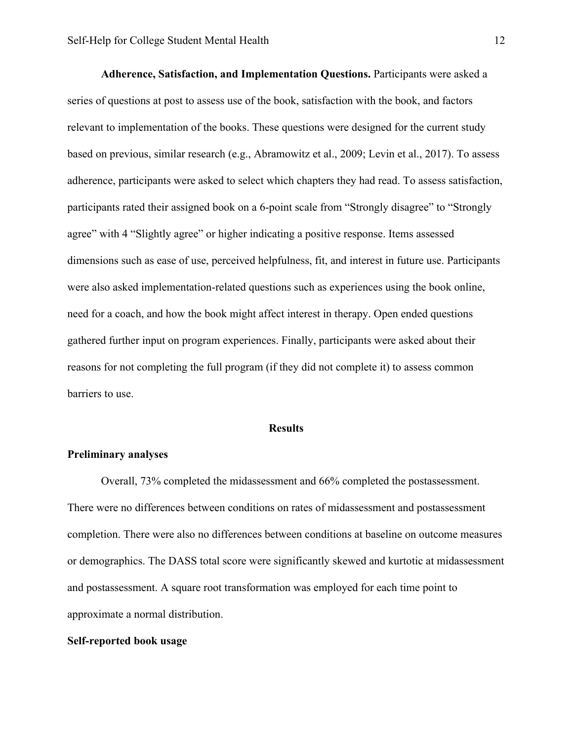**Adherence, Satisfaction, and Implementation Questions.** Participants were asked a series of questions at post to assess use of the book, satisfaction with the book, and factors relevant to implementation of the books. These questions were designed for the current study based on previous, similar research (e.g., Abramowitz et al., 2009; Levin et al., 2017). To assess adherence, participants were asked to select which chapters they had read. To assess satisfaction, participants rated their assigned book on a 6-point scale from "Strongly disagree" to "Strongly agree" with 4 "Slightly agree" or higher indicating a positive response. Items assessed dimensions such as ease of use, perceived helpfulness, fit, and interest in future use. Participants were also asked implementation-related questions such as experiences using the book online, need for a coach, and how the book might affect interest in therapy. Open ended questions gathered further input on program experiences. Finally, participants were asked about their reasons for not completing the full program (if they did not complete it) to assess common barriers to use.

#### **Results**

#### **Preliminary analyses**

Overall, 73% completed the midassessment and 66% completed the postassessment. There were no differences between conditions on rates of midassessment and postassessment completion. There were also no differences between conditions at baseline on outcome measures or demographics. The DASS total score were significantly skewed and kurtotic at midassessment and postassessment. A square root transformation was employed for each time point to approximate a normal distribution.

#### **Self-reported book usage**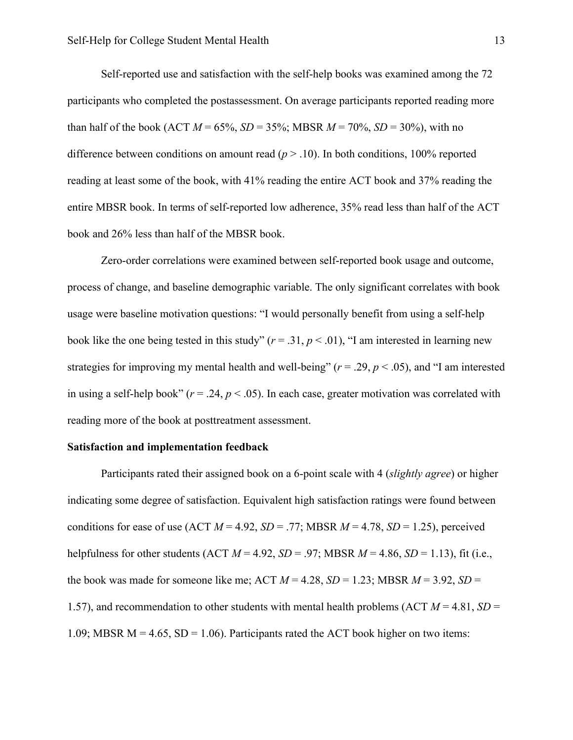Self-reported use and satisfaction with the self-help books was examined among the 72 participants who completed the postassessment. On average participants reported reading more than half of the book (ACT  $M = 65\%$ ,  $SD = 35\%$ ; MBSR  $M = 70\%$ ,  $SD = 30\%$ ), with no difference between conditions on amount read  $(p > .10)$ . In both conditions, 100% reported reading at least some of the book, with 41% reading the entire ACT book and 37% reading the entire MBSR book. In terms of self-reported low adherence, 35% read less than half of the ACT book and 26% less than half of the MBSR book.

Zero-order correlations were examined between self-reported book usage and outcome, process of change, and baseline demographic variable. The only significant correlates with book usage were baseline motivation questions: "I would personally benefit from using a self-help book like the one being tested in this study"  $(r = .31, p < .01)$ , "I am interested in learning new strategies for improving my mental health and well-being" ( $r = .29$ ,  $p < .05$ ), and "I am interested in using a self-help book" ( $r = .24$ ,  $p < .05$ ). In each case, greater motivation was correlated with reading more of the book at posttreatment assessment.

#### **Satisfaction and implementation feedback**

Participants rated their assigned book on a 6-point scale with 4 (*slightly agree*) or higher indicating some degree of satisfaction. Equivalent high satisfaction ratings were found between conditions for ease of use  $(ACT M = 4.92, SD = .77; MBSR M = 4.78, SD = 1.25)$ , perceived helpfulness for other students (ACT  $M = 4.92$ ,  $SD = .97$ ; MBSR  $M = 4.86$ ,  $SD = 1.13$ ), fit (i.e., the book was made for someone like me; ACT  $M = 4.28$ ,  $SD = 1.23$ ; MBSR  $M = 3.92$ ,  $SD =$ 1.57), and recommendation to other students with mental health problems (ACT  $M = 4.81$ ,  $SD =$ 1.09; MBSR  $M = 4.65$ , SD = 1.06). Participants rated the ACT book higher on two items: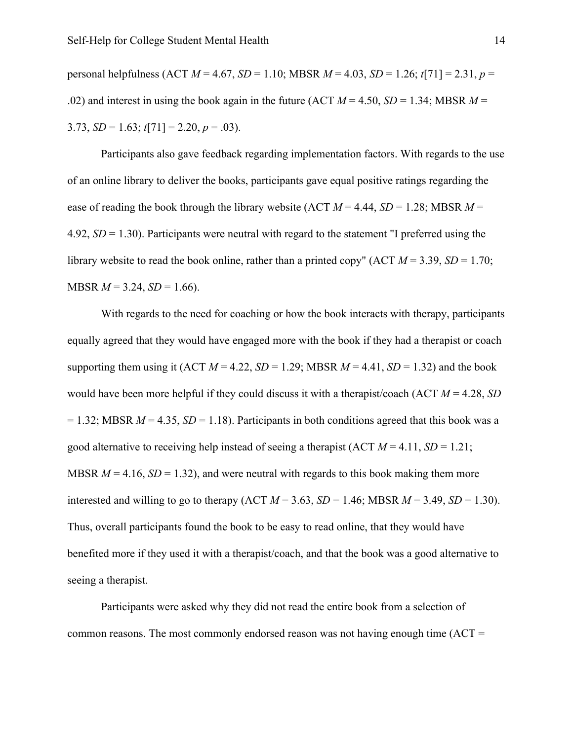personal helpfulness (ACT *M* = 4.67, *SD* = 1.10; MBSR *M* = 4.03, *SD* = 1.26; *t*[71] = 2.31, *p* = .02) and interest in using the book again in the future (ACT  $M = 4.50$ ,  $SD = 1.34$ ; MBSR  $M =$ 3.73,  $SD = 1.63$ ;  $t[71] = 2.20$ ,  $p = .03$ ).

Participants also gave feedback regarding implementation factors. With regards to the use of an online library to deliver the books, participants gave equal positive ratings regarding the ease of reading the book through the library website (ACT  $M = 4.44$ ,  $SD = 1.28$ ; MBSR  $M =$ 4.92, *SD* = 1.30). Participants were neutral with regard to the statement "I preferred using the library website to read the book online, rather than a printed copy"  $(ACT M = 3.39, SD = 1.70;$  $MBSR$   $M = 3.24$ ,  $SD = 1.66$ ).

With regards to the need for coaching or how the book interacts with therapy, participants equally agreed that they would have engaged more with the book if they had a therapist or coach supporting them using it (ACT  $M = 4.22$ ,  $SD = 1.29$ ; MBSR  $M = 4.41$ ,  $SD = 1.32$ ) and the book would have been more helpful if they could discuss it with a therapist/coach (ACT *M* = 4.28, *SD*  $= 1.32$ ; MBSR  $M = 4.35$ ,  $SD = 1.18$ ). Participants in both conditions agreed that this book was a good alternative to receiving help instead of seeing a therapist (ACT *M* = 4.11, *SD* = 1.21; MBSR  $M = 4.16$ ,  $SD = 1.32$ ), and were neutral with regards to this book making them more interested and willing to go to therapy  $(ACT M = 3.63, SD = 1.46; MBSR M = 3.49, SD = 1.30)$ . Thus, overall participants found the book to be easy to read online, that they would have benefited more if they used it with a therapist/coach, and that the book was a good alternative to seeing a therapist.

Participants were asked why they did not read the entire book from a selection of common reasons. The most commonly endorsed reason was not having enough time (ACT =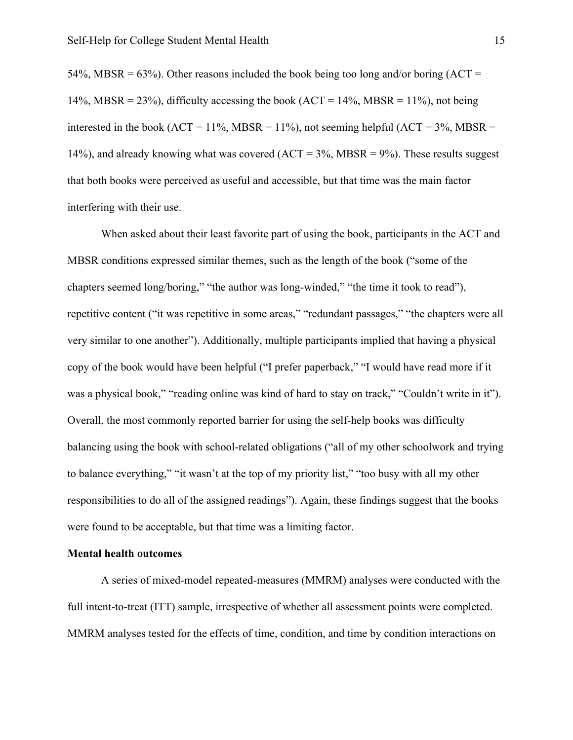54%, MBSR = 63%). Other reasons included the book being too long and/or boring  $(ACT =$ 14%, MBSR = 23%), difficulty accessing the book (ACT = 14%, MBSR = 11%), not being interested in the book ( $ACT = 11\%$ , MBSR = 11%), not seeming helpful ( $ACT = 3\%$ , MBSR = 14%), and already knowing what was covered ( $ACT = 3%$ , MBSR = 9%). These results suggest that both books were perceived as useful and accessible, but that time was the main factor interfering with their use.

When asked about their least favorite part of using the book, participants in the ACT and MBSR conditions expressed similar themes, such as the length of the book ("some of the chapters seemed long/boring," "the author was long-winded," "the time it took to read"), repetitive content ("it was repetitive in some areas," "redundant passages," "the chapters were all very similar to one another"). Additionally, multiple participants implied that having a physical copy of the book would have been helpful ("I prefer paperback," "I would have read more if it was a physical book," "reading online was kind of hard to stay on track," "Couldn't write in it"). Overall, the most commonly reported barrier for using the self-help books was difficulty balancing using the book with school-related obligations ("all of my other schoolwork and trying to balance everything," "it wasn't at the top of my priority list," "too busy with all my other responsibilities to do all of the assigned readings"). Again, these findings suggest that the books were found to be acceptable, but that time was a limiting factor.

#### **Mental health outcomes**

A series of mixed-model repeated-measures (MMRM) analyses were conducted with the full intent-to-treat (ITT) sample, irrespective of whether all assessment points were completed. MMRM analyses tested for the effects of time, condition, and time by condition interactions on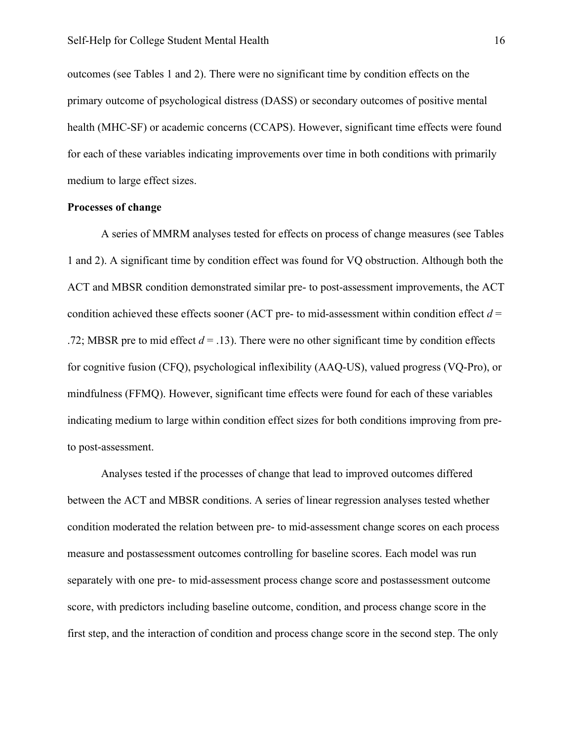outcomes (see Tables 1 and 2). There were no significant time by condition effects on the primary outcome of psychological distress (DASS) or secondary outcomes of positive mental health (MHC-SF) or academic concerns (CCAPS). However, significant time effects were found for each of these variables indicating improvements over time in both conditions with primarily medium to large effect sizes.

#### **Processes of change**

A series of MMRM analyses tested for effects on process of change measures (see Tables 1 and 2). A significant time by condition effect was found for VQ obstruction. Although both the ACT and MBSR condition demonstrated similar pre- to post-assessment improvements, the ACT condition achieved these effects sooner (ACT pre- to mid-assessment within condition effect  $d =$ .72; MBSR pre to mid effect  $d = .13$ ). There were no other significant time by condition effects for cognitive fusion (CFQ), psychological inflexibility (AAQ-US), valued progress (VQ-Pro), or mindfulness (FFMQ). However, significant time effects were found for each of these variables indicating medium to large within condition effect sizes for both conditions improving from preto post-assessment.

Analyses tested if the processes of change that lead to improved outcomes differed between the ACT and MBSR conditions. A series of linear regression analyses tested whether condition moderated the relation between pre- to mid-assessment change scores on each process measure and postassessment outcomes controlling for baseline scores. Each model was run separately with one pre- to mid-assessment process change score and postassessment outcome score, with predictors including baseline outcome, condition, and process change score in the first step, and the interaction of condition and process change score in the second step. The only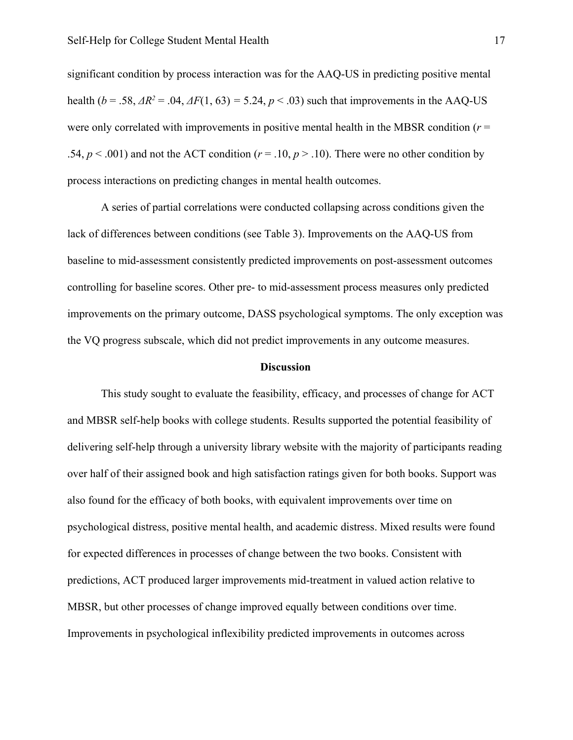significant condition by process interaction was for the AAQ-US in predicting positive mental health ( $b = .58$ ,  $\Delta R^2 = .04$ ,  $\Delta F(1, 63) = 5.24$ ,  $p < .03$ ) such that improvements in the AAQ-US were only correlated with improvements in positive mental health in the MBSR condition (*r* = .54,  $p < .001$ ) and not the ACT condition ( $r = .10$ ,  $p > .10$ ). There were no other condition by process interactions on predicting changes in mental health outcomes.

A series of partial correlations were conducted collapsing across conditions given the lack of differences between conditions (see Table 3). Improvements on the AAQ-US from baseline to mid-assessment consistently predicted improvements on post-assessment outcomes controlling for baseline scores. Other pre- to mid-assessment process measures only predicted improvements on the primary outcome, DASS psychological symptoms. The only exception was the VQ progress subscale, which did not predict improvements in any outcome measures.

#### **Discussion**

This study sought to evaluate the feasibility, efficacy, and processes of change for ACT and MBSR self-help books with college students. Results supported the potential feasibility of delivering self-help through a university library website with the majority of participants reading over half of their assigned book and high satisfaction ratings given for both books. Support was also found for the efficacy of both books, with equivalent improvements over time on psychological distress, positive mental health, and academic distress. Mixed results were found for expected differences in processes of change between the two books. Consistent with predictions, ACT produced larger improvements mid-treatment in valued action relative to MBSR, but other processes of change improved equally between conditions over time. Improvements in psychological inflexibility predicted improvements in outcomes across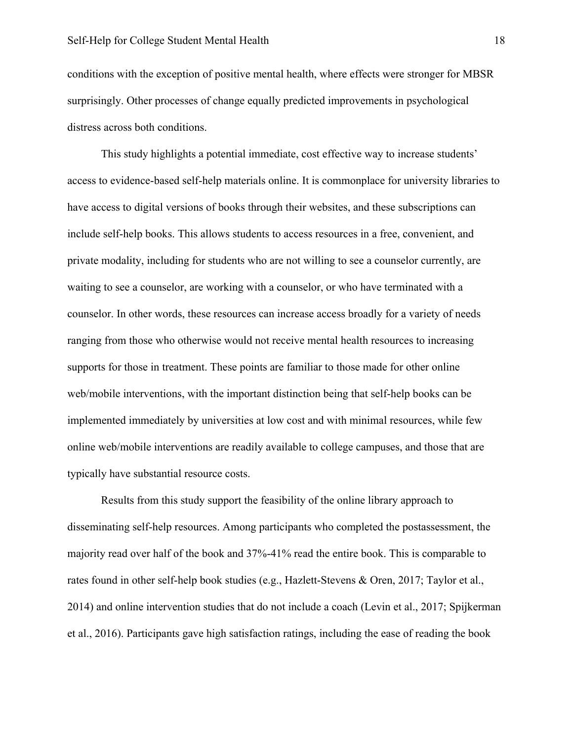conditions with the exception of positive mental health, where effects were stronger for MBSR surprisingly. Other processes of change equally predicted improvements in psychological distress across both conditions.

This study highlights a potential immediate, cost effective way to increase students' access to evidence-based self-help materials online. It is commonplace for university libraries to have access to digital versions of books through their websites, and these subscriptions can include self-help books. This allows students to access resources in a free, convenient, and private modality, including for students who are not willing to see a counselor currently, are waiting to see a counselor, are working with a counselor, or who have terminated with a counselor. In other words, these resources can increase access broadly for a variety of needs ranging from those who otherwise would not receive mental health resources to increasing supports for those in treatment. These points are familiar to those made for other online web/mobile interventions, with the important distinction being that self-help books can be implemented immediately by universities at low cost and with minimal resources, while few online web/mobile interventions are readily available to college campuses, and those that are typically have substantial resource costs.

Results from this study support the feasibility of the online library approach to disseminating self-help resources. Among participants who completed the postassessment, the majority read over half of the book and 37%-41% read the entire book. This is comparable to rates found in other self-help book studies (e.g., Hazlett-Stevens & Oren, 2017; Taylor et al., 2014) and online intervention studies that do not include a coach (Levin et al., 2017; Spijkerman et al., 2016). Participants gave high satisfaction ratings, including the ease of reading the book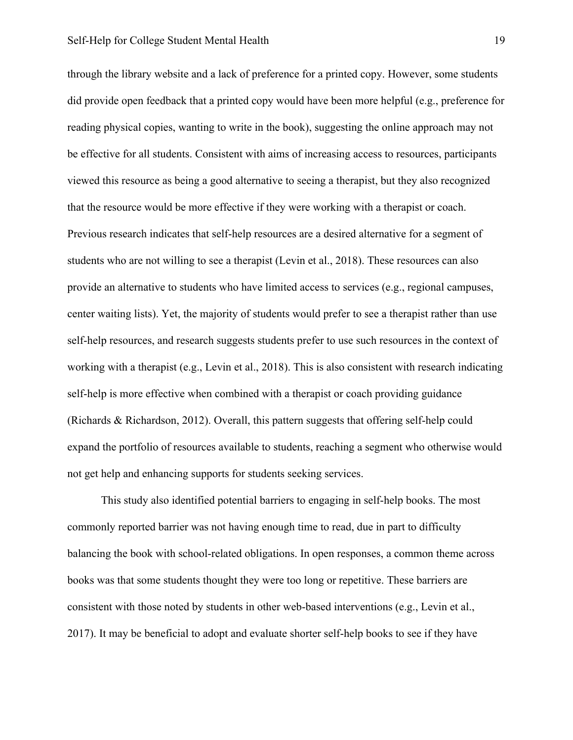through the library website and a lack of preference for a printed copy. However, some students did provide open feedback that a printed copy would have been more helpful (e.g., preference for reading physical copies, wanting to write in the book), suggesting the online approach may not be effective for all students. Consistent with aims of increasing access to resources, participants viewed this resource as being a good alternative to seeing a therapist, but they also recognized that the resource would be more effective if they were working with a therapist or coach. Previous research indicates that self-help resources are a desired alternative for a segment of students who are not willing to see a therapist (Levin et al., 2018). These resources can also provide an alternative to students who have limited access to services (e.g., regional campuses, center waiting lists). Yet, the majority of students would prefer to see a therapist rather than use self-help resources, and research suggests students prefer to use such resources in the context of working with a therapist (e.g., Levin et al., 2018). This is also consistent with research indicating self-help is more effective when combined with a therapist or coach providing guidance (Richards & Richardson, 2012). Overall, this pattern suggests that offering self-help could expand the portfolio of resources available to students, reaching a segment who otherwise would not get help and enhancing supports for students seeking services.

This study also identified potential barriers to engaging in self-help books. The most commonly reported barrier was not having enough time to read, due in part to difficulty balancing the book with school-related obligations. In open responses, a common theme across books was that some students thought they were too long or repetitive. These barriers are consistent with those noted by students in other web-based interventions (e.g., Levin et al., 2017). It may be beneficial to adopt and evaluate shorter self-help books to see if they have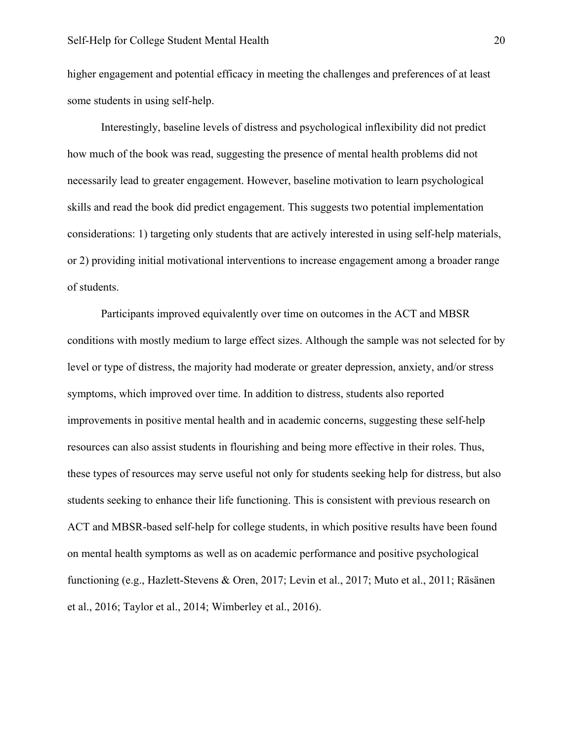higher engagement and potential efficacy in meeting the challenges and preferences of at least some students in using self-help.

Interestingly, baseline levels of distress and psychological inflexibility did not predict how much of the book was read, suggesting the presence of mental health problems did not necessarily lead to greater engagement. However, baseline motivation to learn psychological skills and read the book did predict engagement. This suggests two potential implementation considerations: 1) targeting only students that are actively interested in using self-help materials, or 2) providing initial motivational interventions to increase engagement among a broader range of students.

Participants improved equivalently over time on outcomes in the ACT and MBSR conditions with mostly medium to large effect sizes. Although the sample was not selected for by level or type of distress, the majority had moderate or greater depression, anxiety, and/or stress symptoms, which improved over time. In addition to distress, students also reported improvements in positive mental health and in academic concerns, suggesting these self-help resources can also assist students in flourishing and being more effective in their roles. Thus, these types of resources may serve useful not only for students seeking help for distress, but also students seeking to enhance their life functioning. This is consistent with previous research on ACT and MBSR-based self-help for college students, in which positive results have been found on mental health symptoms as well as on academic performance and positive psychological functioning (e.g., Hazlett-Stevens & Oren, 2017; Levin et al., 2017; Muto et al., 2011; Räsänen et al., 2016; Taylor et al., 2014; Wimberley et al., 2016).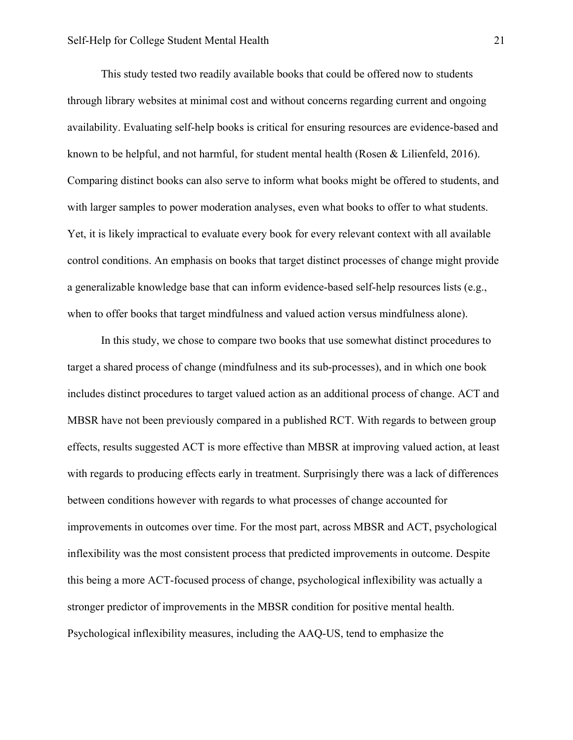This study tested two readily available books that could be offered now to students through library websites at minimal cost and without concerns regarding current and ongoing availability. Evaluating self-help books is critical for ensuring resources are evidence-based and known to be helpful, and not harmful, for student mental health (Rosen & Lilienfeld, 2016). Comparing distinct books can also serve to inform what books might be offered to students, and with larger samples to power moderation analyses, even what books to offer to what students. Yet, it is likely impractical to evaluate every book for every relevant context with all available control conditions. An emphasis on books that target distinct processes of change might provide a generalizable knowledge base that can inform evidence-based self-help resources lists (e.g., when to offer books that target mindfulness and valued action versus mindfulness alone).

In this study, we chose to compare two books that use somewhat distinct procedures to target a shared process of change (mindfulness and its sub-processes), and in which one book includes distinct procedures to target valued action as an additional process of change. ACT and MBSR have not been previously compared in a published RCT. With regards to between group effects, results suggested ACT is more effective than MBSR at improving valued action, at least with regards to producing effects early in treatment. Surprisingly there was a lack of differences between conditions however with regards to what processes of change accounted for improvements in outcomes over time. For the most part, across MBSR and ACT, psychological inflexibility was the most consistent process that predicted improvements in outcome. Despite this being a more ACT-focused process of change, psychological inflexibility was actually a stronger predictor of improvements in the MBSR condition for positive mental health. Psychological inflexibility measures, including the AAQ-US, tend to emphasize the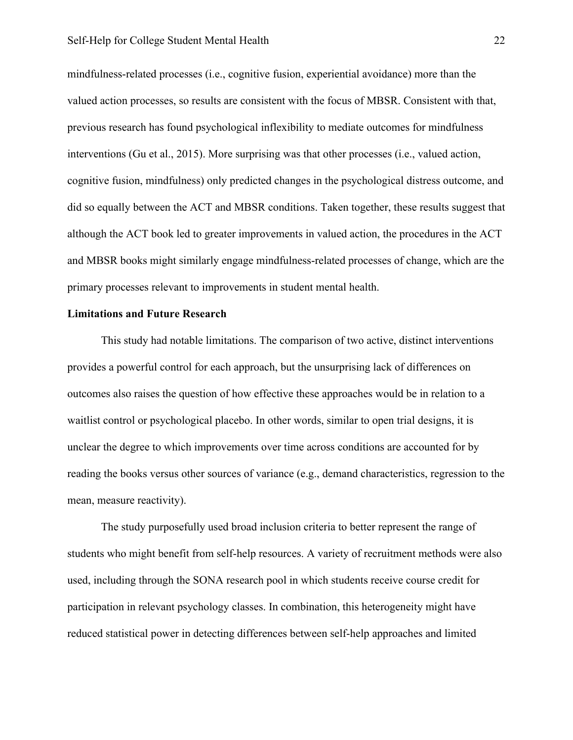mindfulness-related processes (i.e., cognitive fusion, experiential avoidance) more than the valued action processes, so results are consistent with the focus of MBSR. Consistent with that, previous research has found psychological inflexibility to mediate outcomes for mindfulness interventions (Gu et al., 2015). More surprising was that other processes (i.e., valued action, cognitive fusion, mindfulness) only predicted changes in the psychological distress outcome, and did so equally between the ACT and MBSR conditions. Taken together, these results suggest that although the ACT book led to greater improvements in valued action, the procedures in the ACT and MBSR books might similarly engage mindfulness-related processes of change, which are the primary processes relevant to improvements in student mental health.

#### **Limitations and Future Research**

This study had notable limitations. The comparison of two active, distinct interventions provides a powerful control for each approach, but the unsurprising lack of differences on outcomes also raises the question of how effective these approaches would be in relation to a waitlist control or psychological placebo. In other words, similar to open trial designs, it is unclear the degree to which improvements over time across conditions are accounted for by reading the books versus other sources of variance (e.g., demand characteristics, regression to the mean, measure reactivity).

The study purposefully used broad inclusion criteria to better represent the range of students who might benefit from self-help resources. A variety of recruitment methods were also used, including through the SONA research pool in which students receive course credit for participation in relevant psychology classes. In combination, this heterogeneity might have reduced statistical power in detecting differences between self-help approaches and limited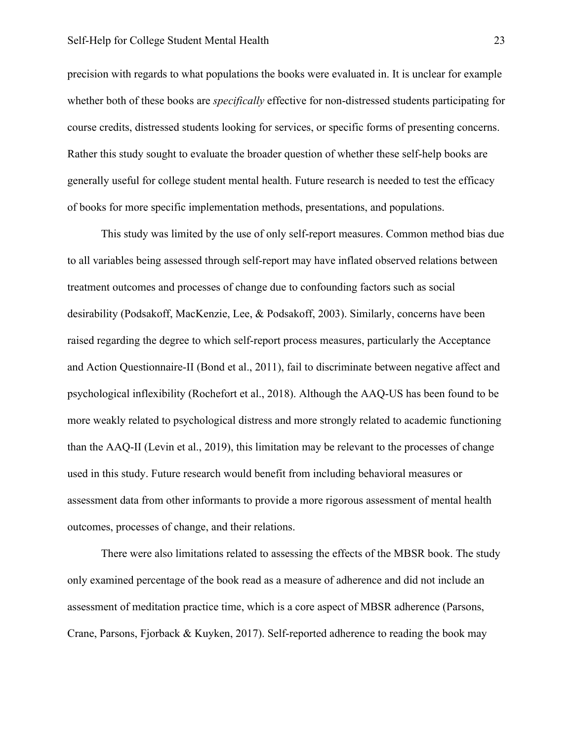precision with regards to what populations the books were evaluated in. It is unclear for example whether both of these books are *specifically* effective for non-distressed students participating for course credits, distressed students looking for services, or specific forms of presenting concerns. Rather this study sought to evaluate the broader question of whether these self-help books are generally useful for college student mental health. Future research is needed to test the efficacy of books for more specific implementation methods, presentations, and populations.

This study was limited by the use of only self-report measures. Common method bias due to all variables being assessed through self-report may have inflated observed relations between treatment outcomes and processes of change due to confounding factors such as social desirability (Podsakoff, MacKenzie, Lee, & Podsakoff, 2003). Similarly, concerns have been raised regarding the degree to which self-report process measures, particularly the Acceptance and Action Questionnaire-II (Bond et al., 2011), fail to discriminate between negative affect and psychological inflexibility (Rochefort et al., 2018). Although the AAQ-US has been found to be more weakly related to psychological distress and more strongly related to academic functioning than the AAQ-II (Levin et al., 2019), this limitation may be relevant to the processes of change used in this study. Future research would benefit from including behavioral measures or assessment data from other informants to provide a more rigorous assessment of mental health outcomes, processes of change, and their relations.

There were also limitations related to assessing the effects of the MBSR book. The study only examined percentage of the book read as a measure of adherence and did not include an assessment of meditation practice time, which is a core aspect of MBSR adherence (Parsons, Crane, Parsons, Fjorback & Kuyken, 2017). Self-reported adherence to reading the book may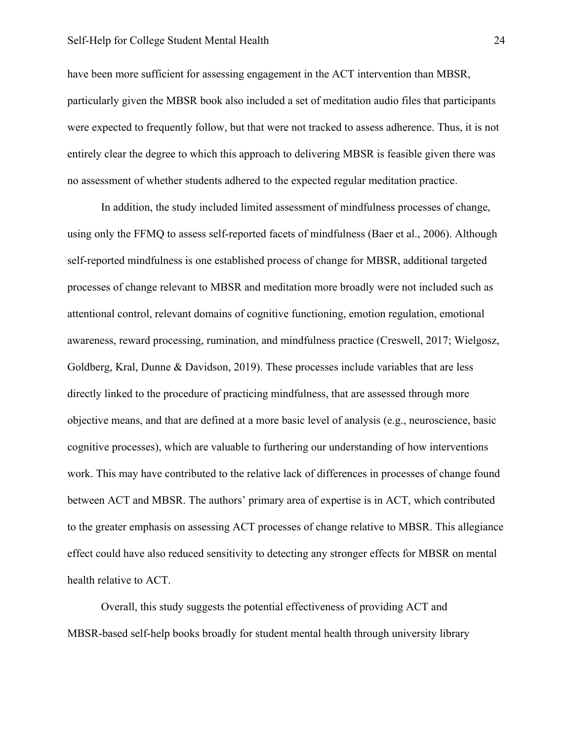#### Self-Help for College Student Mental Health 24

have been more sufficient for assessing engagement in the ACT intervention than MBSR, particularly given the MBSR book also included a set of meditation audio files that participants were expected to frequently follow, but that were not tracked to assess adherence. Thus, it is not entirely clear the degree to which this approach to delivering MBSR is feasible given there was no assessment of whether students adhered to the expected regular meditation practice.

In addition, the study included limited assessment of mindfulness processes of change, using only the FFMQ to assess self-reported facets of mindfulness (Baer et al., 2006). Although self-reported mindfulness is one established process of change for MBSR, additional targeted processes of change relevant to MBSR and meditation more broadly were not included such as attentional control, relevant domains of cognitive functioning, emotion regulation, emotional awareness, reward processing, rumination, and mindfulness practice (Creswell, 2017; Wielgosz, Goldberg, Kral, Dunne & Davidson, 2019). These processes include variables that are less directly linked to the procedure of practicing mindfulness, that are assessed through more objective means, and that are defined at a more basic level of analysis (e.g., neuroscience, basic cognitive processes), which are valuable to furthering our understanding of how interventions work. This may have contributed to the relative lack of differences in processes of change found between ACT and MBSR. The authors' primary area of expertise is in ACT, which contributed to the greater emphasis on assessing ACT processes of change relative to MBSR. This allegiance effect could have also reduced sensitivity to detecting any stronger effects for MBSR on mental health relative to ACT.

Overall, this study suggests the potential effectiveness of providing ACT and MBSR-based self-help books broadly for student mental health through university library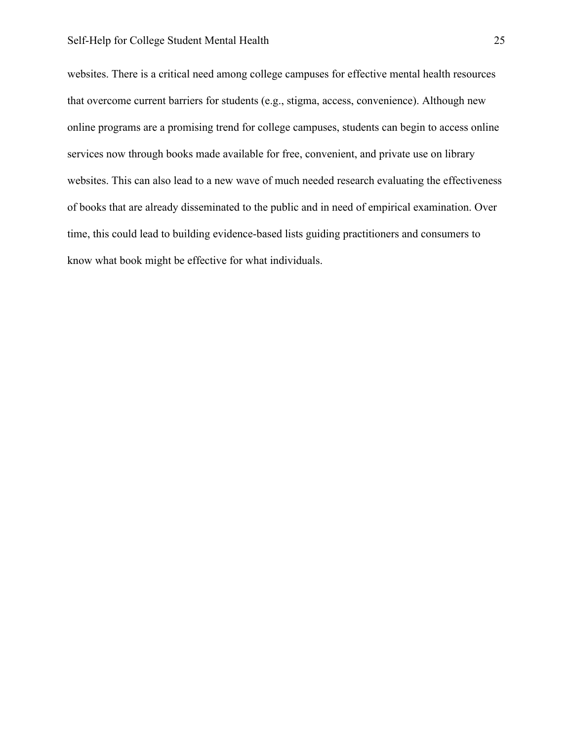# Self-Help for College Student Mental Health 25

websites. There is a critical need among college campuses for effective mental health resources that overcome current barriers for students (e.g., stigma, access, convenience). Although new online programs are a promising trend for college campuses, students can begin to access online services now through books made available for free, convenient, and private use on library websites. This can also lead to a new wave of much needed research evaluating the effectiveness of books that are already disseminated to the public and in need of empirical examination. Over time, this could lead to building evidence-based lists guiding practitioners and consumers to know what book might be effective for what individuals.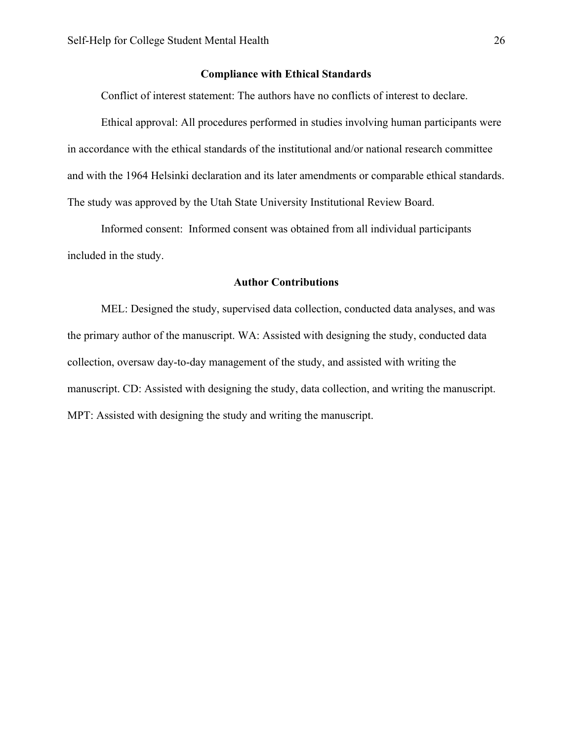# **Compliance with Ethical Standards**

Conflict of interest statement: The authors have no conflicts of interest to declare.

Ethical approval: All procedures performed in studies involving human participants were in accordance with the ethical standards of the institutional and/or national research committee and with the 1964 Helsinki declaration and its later amendments or comparable ethical standards. The study was approved by the Utah State University Institutional Review Board.

Informed consent: Informed consent was obtained from all individual participants included in the study.

#### **Author Contributions**

MEL: Designed the study, supervised data collection, conducted data analyses, and was the primary author of the manuscript. WA: Assisted with designing the study, conducted data collection, oversaw day-to-day management of the study, and assisted with writing the manuscript. CD: Assisted with designing the study, data collection, and writing the manuscript. MPT: Assisted with designing the study and writing the manuscript.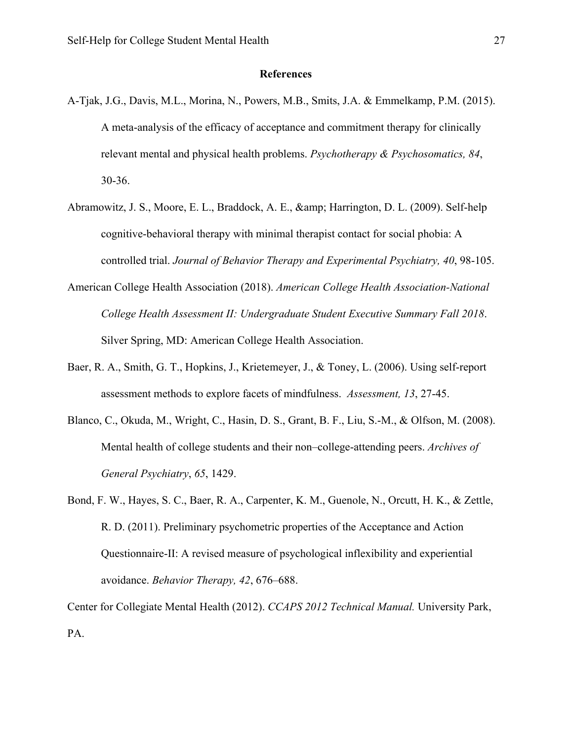# **References**

- A-Tjak, J.G., Davis, M.L., Morina, N., Powers, M.B., Smits, J.A. & Emmelkamp, P.M. (2015). A meta-analysis of the efficacy of acceptance and commitment therapy for clinically relevant mental and physical health problems. *Psychotherapy & Psychosomatics, 84*, 30-36.
- Abramowitz, J. S., Moore, E. L., Braddock, A. E.,  $\&$ ; Harrington, D. L. (2009). Self-help cognitive-behavioral therapy with minimal therapist contact for social phobia: A controlled trial. *Journal of Behavior Therapy and Experimental Psychiatry, 40*, 98-105.
- American College Health Association (2018). *American College Health Association-National College Health Assessment II: Undergraduate Student Executive Summary Fall 2018*. Silver Spring, MD: American College Health Association.
- Baer, R. A., Smith, G. T., Hopkins, J., Krietemeyer, J., & Toney, L. (2006). Using self-report assessment methods to explore facets of mindfulness. *Assessment, 13*, 27-45.
- Blanco, C., Okuda, M., Wright, C., Hasin, D. S., Grant, B. F., Liu, S.-M., & Olfson, M. (2008). Mental health of college students and their non–college-attending peers. *Archives of General Psychiatry*, *65*, 1429.
- Bond, F. W., Hayes, S. C., Baer, R. A., Carpenter, K. M., Guenole, N., Orcutt, H. K., & Zettle, R. D. (2011). Preliminary psychometric properties of the Acceptance and Action Questionnaire-II: A revised measure of psychological inflexibility and experiential avoidance. *Behavior Therapy, 42*, 676–688.

Center for Collegiate Mental Health (2012). *CCAPS 2012 Technical Manual.* University Park, PA.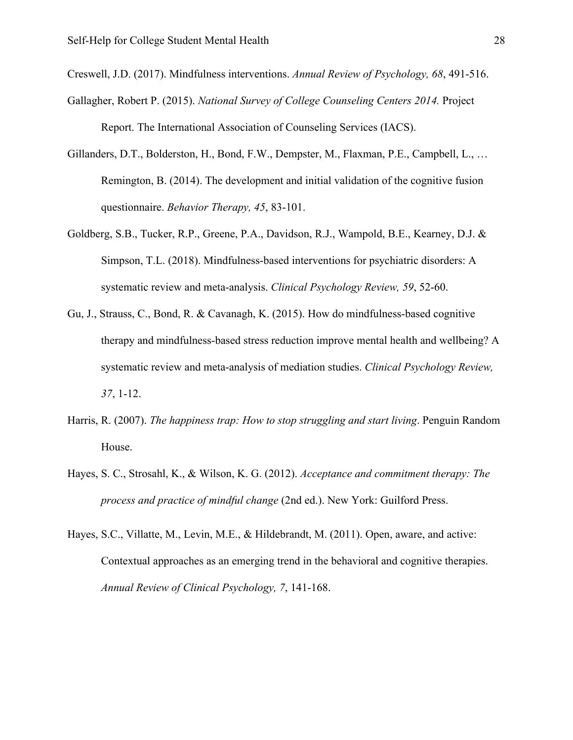Creswell, J.D. (2017). Mindfulness interventions. *Annual Review of Psychology, 68*, 491-516.

- Gallagher, Robert P. (2015). *National Survey of College Counseling Centers 2014.* Project Report. The International Association of Counseling Services (IACS).
- Gillanders, D.T., Bolderston, H., Bond, F.W., Dempster, M., Flaxman, P.E., Campbell, L., … Remington, B. (2014). The development and initial validation of the cognitive fusion questionnaire. *Behavior Therapy, 45*, 83-101.
- Goldberg, S.B., Tucker, R.P., Greene, P.A., Davidson, R.J., Wampold, B.E., Kearney, D.J. & Simpson, T.L. (2018). Mindfulness-based interventions for psychiatric disorders: A systematic review and meta-analysis. *Clinical Psychology Review, 59*, 52-60.
- Gu, J., Strauss, C., Bond, R. & Cavanagh, K. (2015). How do mindfulness-based cognitive therapy and mindfulness-based stress reduction improve mental health and wellbeing? A systematic review and meta-analysis of mediation studies. *Clinical Psychology Review, 37*, 1-12.
- Harris, R. (2007). *The happiness trap: How to stop struggling and start living*. Penguin Random House.
- Hayes, S. C., Strosahl, K., & Wilson, K. G. (2012). *Acceptance and commitment therapy: The process and practice of mindful change* (2nd ed.). New York: Guilford Press.
- Hayes, S.C., Villatte, M., Levin, M.E., & Hildebrandt, M. (2011). Open, aware, and active: Contextual approaches as an emerging trend in the behavioral and cognitive therapies. *Annual Review of Clinical Psychology, 7*, 141-168.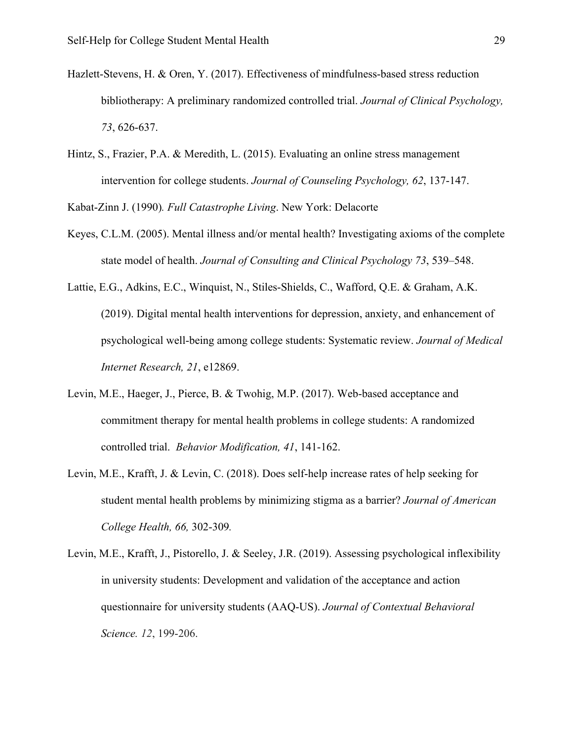- Hazlett-Stevens, H. & Oren, Y. (2017). Effectiveness of mindfulness-based stress reduction bibliotherapy: A preliminary randomized controlled trial. *Journal of Clinical Psychology, 73*, 626-637.
- Hintz, S., Frazier, P.A. & Meredith, L. (2015). Evaluating an online stress management intervention for college students. *Journal of Counseling Psychology, 62*, 137-147.

Kabat-Zinn J. (1990)*. Full Catastrophe Living*. New York: Delacorte

- Keyes, C.L.M. (2005). Mental illness and/or mental health? Investigating axioms of the complete state model of health. *Journal of Consulting and Clinical Psychology 73*, 539–548.
- Lattie, E.G., Adkins, E.C., Winquist, N., Stiles-Shields, C., Wafford, Q.E. & Graham, A.K. (2019). Digital mental health interventions for depression, anxiety, and enhancement of psychological well-being among college students: Systematic review. *Journal of Medical Internet Research, 21*, e12869.
- Levin, M.E., Haeger, J., Pierce, B. & Twohig, M.P. (2017). Web-based acceptance and commitment therapy for mental health problems in college students: A randomized controlled trial. *Behavior Modification, 41*, 141-162.
- Levin, M.E., Krafft, J. & Levin, C. (2018). Does self-help increase rates of help seeking for student mental health problems by minimizing stigma as a barrier? *Journal of American College Health, 66,* 302-309*.*
- Levin, M.E., Krafft, J., Pistorello, J. & Seeley, J.R. (2019). Assessing psychological inflexibility in university students: Development and validation of the acceptance and action questionnaire for university students (AAQ-US). *Journal of Contextual Behavioral Science. 12*, 199-206.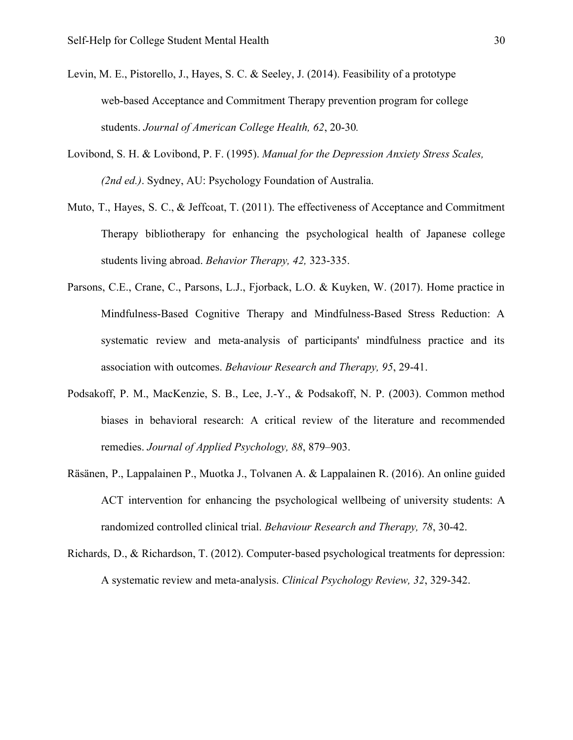- Levin, M. E., Pistorello, J., Hayes, S. C. & Seeley, J. (2014). Feasibility of a prototype web-based Acceptance and Commitment Therapy prevention program for college students. *Journal of American College Health, 62*, 20-30*.*
- Lovibond, S. H. & Lovibond, P. F. (1995). *Manual for the Depression Anxiety Stress Scales, (2nd ed.)*. Sydney, AU: Psychology Foundation of Australia.
- Muto, T., Hayes, S. C., & Jeffcoat, T. (2011). The effectiveness of Acceptance and Commitment Therapy bibliotherapy for enhancing the psychological health of Japanese college students living abroad. *Behavior Therapy, 42,* 323-335.
- Parsons, C.E., Crane, C., Parsons, L.J., Fjorback, L.O. & Kuyken, W. (2017). Home practice in Mindfulness-Based Cognitive Therapy and Mindfulness-Based Stress Reduction: A systematic review and meta-analysis of participants' mindfulness practice and its association with outcomes. *Behaviour Research and Therapy, 95*, 29-41.
- Podsakoff, P. M., MacKenzie, S. B., Lee, J.-Y., & Podsakoff, N. P. (2003). Common method biases in behavioral research: A critical review of the literature and recommended remedies. *Journal of Applied Psychology, 88*, 879–903.
- Räsänen, P., Lappalainen P., Muotka J., Tolvanen A. & Lappalainen R. (2016). An online guided ACT intervention for enhancing the psychological wellbeing of university students: A randomized controlled clinical trial. *Behaviour Research and Therapy, 78*, 30-42.
- Richards, D., & Richardson, T. (2012). Computer-based psychological treatments for depression: A systematic review and meta-analysis. *Clinical Psychology Review, 32*, 329-342.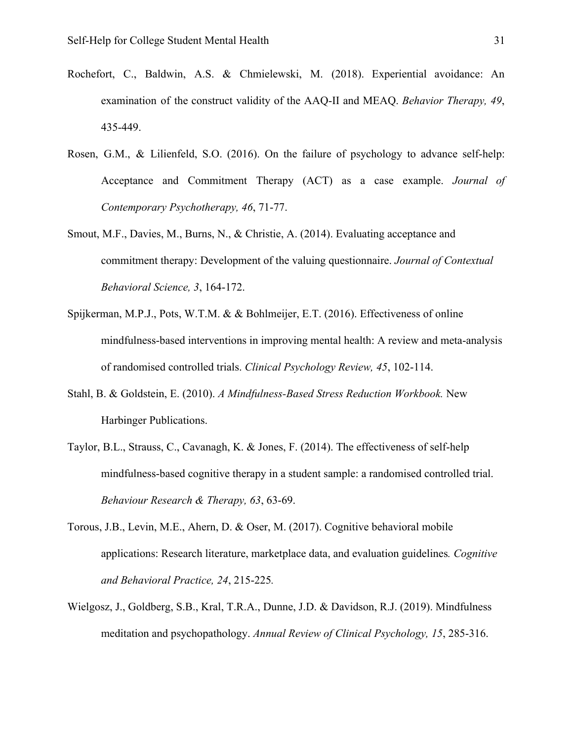- Rochefort, C., Baldwin, A.S. & Chmielewski, M. (2018). Experiential avoidance: An examination of the construct validity of the AAQ-II and MEAQ. *Behavior Therapy, 49*, 435-449.
- Rosen, G.M., & Lilienfeld, S.O. (2016). On the failure of psychology to advance self-help: Acceptance and Commitment Therapy (ACT) as a case example. *Journal of Contemporary Psychotherapy, 46*, 71-77.
- Smout, M.F., Davies, M., Burns, N., & Christie, A. (2014). Evaluating acceptance and commitment therapy: Development of the valuing questionnaire. *Journal of Contextual Behavioral Science, 3*, 164-172.
- Spijkerman, M.P.J., Pots, W.T.M. & & Bohlmeijer, E.T. (2016). Effectiveness of online mindfulness-based interventions in improving mental health: A review and meta-analysis of randomised controlled trials. *Clinical Psychology Review, 45*, 102-114.
- Stahl, B. & Goldstein, E. (2010). *A Mindfulness-Based Stress Reduction Workbook.* New Harbinger Publications.
- Taylor, B.L., Strauss, C., Cavanagh, K. & Jones, F. (2014). The effectiveness of self-help mindfulness-based cognitive therapy in a student sample: a randomised controlled trial. *Behaviour Research & Therapy, 63*, 63-69.
- Torous, J.B., Levin, M.E., Ahern, D. & Oser, M. (2017). Cognitive behavioral mobile applications: Research literature, marketplace data, and evaluation guidelines*. Cognitive and Behavioral Practice, 24*, 215-225*.*
- Wielgosz, J., Goldberg, S.B., Kral, T.R.A., Dunne, J.D. & Davidson, R.J. (2019). Mindfulness meditation and psychopathology. *Annual Review of Clinical Psychology, 15*, 285-316.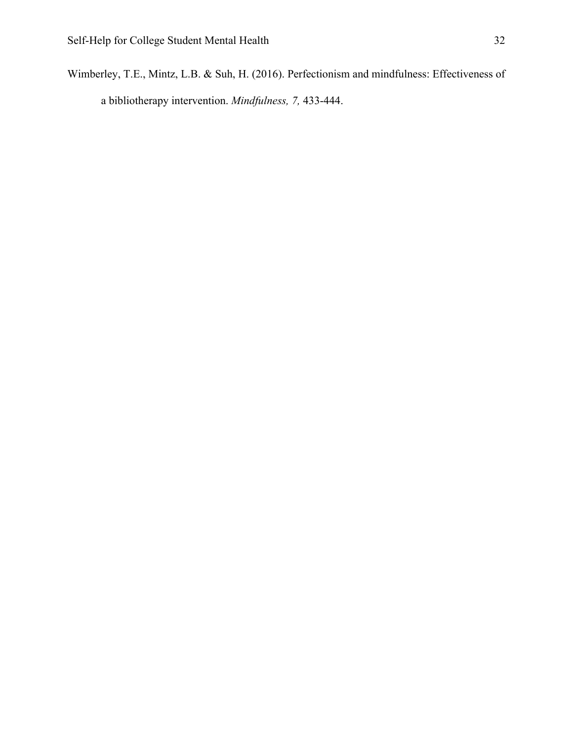Wimberley, T.E., Mintz, L.B. & Suh, H. (2016). Perfectionism and mindfulness: Effectiveness of a bibliotherapy intervention. *Mindfulness, 7,* 433-444.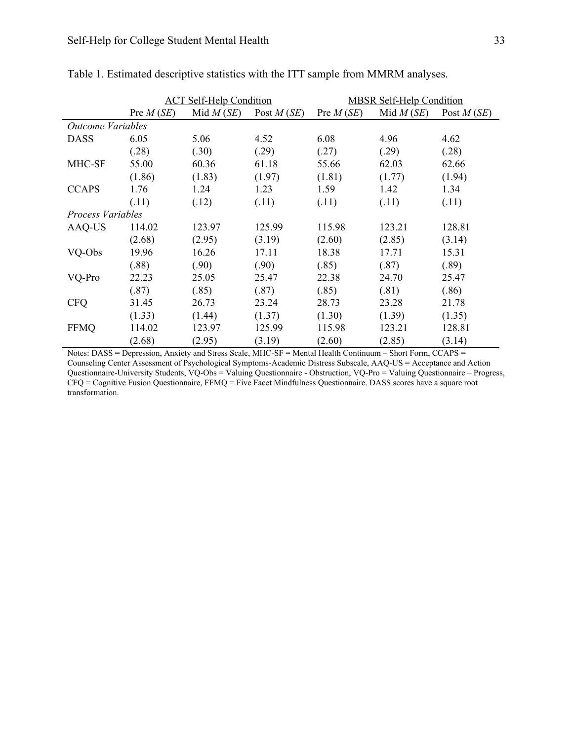|                          | <b>ACT Self-Help Condition</b> |             |              | <b>MBSR Self-Help Condition</b> |             |              |
|--------------------------|--------------------------------|-------------|--------------|---------------------------------|-------------|--------------|
|                          | Pre $M(SE)$                    | Mid $M(SE)$ | Post $M(SE)$ | Pre $M(SE)$                     | Mid $M(SE)$ | Post $M(SE)$ |
| <b>Outcome Variables</b> |                                |             |              |                                 |             |              |
| <b>DASS</b>              | 6.05                           | 5.06        | 4.52         | 6.08                            | 4.96        | 4.62         |
|                          | (.28)                          | (.30)       | (.29)        | (.27)                           | (.29)       | (.28)        |
| MHC-SF                   | 55.00                          | 60.36       | 61.18        | 55.66                           | 62.03       | 62.66        |
|                          | (1.86)                         | (1.83)      | (1.97)       | (1.81)                          | (1.77)      | (1.94)       |
| <b>CCAPS</b>             | 1.76                           | 1.24        | 1.23         | 1.59                            | 1.42        | 1.34         |
|                          | (.11)                          | (.12)       | (.11)        | (.11)                           | (.11)       | (.11)        |
| Process Variables        |                                |             |              |                                 |             |              |
| AAQ-US                   | 114.02                         | 123.97      | 125.99       | 115.98                          | 123.21      | 128.81       |
|                          | (2.68)                         | (2.95)      | (3.19)       | (2.60)                          | (2.85)      | (3.14)       |
| VQ-Obs                   | 19.96                          | 16.26       | 17.11        | 18.38                           | 17.71       | 15.31        |
|                          | (.88)                          | (.90)       | (.90)        | (.85)                           | (.87)       | (.89)        |
| VQ-Pro                   | 22.23                          | 25.05       | 25.47        | 22.38                           | 24.70       | 25.47        |
|                          | (.87)                          | (.85)       | (.87)        | (.85)                           | (.81)       | (.86)        |
| <b>CFQ</b>               | 31.45                          | 26.73       | 23.24        | 28.73                           | 23.28       | 21.78        |
|                          | (1.33)                         | (1.44)      | (1.37)       | (1.30)                          | (1.39)      | (1.35)       |
| <b>FFMQ</b>              | 114.02                         | 123.97      | 125.99       | 115.98                          | 123.21      | 128.81       |
|                          | (2.68)                         | (2.95)      | (3.19)       | (2.60)                          | (2.85)      | (3.14)       |

Table 1. Estimated descriptive statistics with the ITT sample from MMRM analyses.

Notes: DASS = Depression, Anxiety and Stress Scale, MHC-SF = Mental Health Continuum – Short Form, CCAPS = Counseling Center Assessment of Psychological Symptoms-Academic Distress Subscale, AAQ-US = Acceptance and Action Questionnaire-University Students, VQ-Obs = Valuing Questionnaire - Obstruction, VQ-Pro = Valuing Questionnaire – Progress, CFQ = Cognitive Fusion Questionnaire, FFMQ = Five Facet Mindfulness Questionnaire. DASS scores have a square root transformation.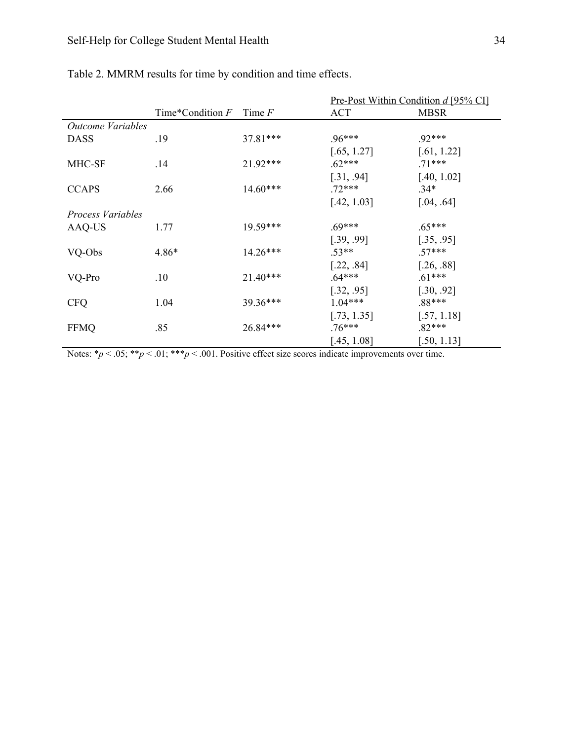|                          |                    |            | <u>Pre-Post Within Condition d [95% CI]</u> |             |  |
|--------------------------|--------------------|------------|---------------------------------------------|-------------|--|
|                          | Time*Condition $F$ | Time $F$   | <b>ACT</b>                                  | <b>MBSR</b> |  |
| <b>Outcome Variables</b> |                    |            |                                             |             |  |
| <b>DASS</b>              | .19                | $37.81***$ | $.96***$                                    | $.92***$    |  |
|                          |                    |            | [.65, 1.27]                                 | [.61, 1.22] |  |
| MHC-SF                   | .14                | $21.92***$ | $.62***$                                    | $.71***$    |  |
|                          |                    |            | [.31, .94]                                  | [.40, 1.02] |  |
| <b>CCAPS</b>             | 2.66               | $14.60***$ | $.72***$                                    | $.34*$      |  |
|                          |                    |            | [.42, 1.03]                                 | [.04, .64]  |  |
| <b>Process Variables</b> |                    |            |                                             |             |  |
| AAQ-US                   | 1.77               | 19.59***   | $.69***$                                    | $.65***$    |  |
|                          |                    |            | [.39, .99]                                  | [.35, .95]  |  |
| VQ-Obs                   | $4.86*$            | $14.26***$ | $.53**$                                     | $.57***$    |  |
|                          |                    |            | [.22, .84]                                  | [.26, .88]  |  |
| VQ-Pro                   | .10                | $21.40***$ | $.64***$                                    | $.61***$    |  |
|                          |                    |            | [.32, .95]                                  | [.30, .92]  |  |
| <b>CFQ</b>               | 1.04               | 39.36***   | $1.04***$                                   | .88***      |  |
|                          |                    |            | [.73, 1.35]                                 | [.57, 1.18] |  |
| <b>FFMQ</b>              | .85                | 26.84***   | $.76***$                                    | $.82***$    |  |
|                          |                    |            | [.45, 1.08]                                 | [.50, 1.13] |  |

# Table 2. MMRM results for time by condition and time effects.

Notes:  $*_p$  < .05;  $*_p$  < .01;  $**_p$  < .001. Positive effect size scores indicate improvements over time.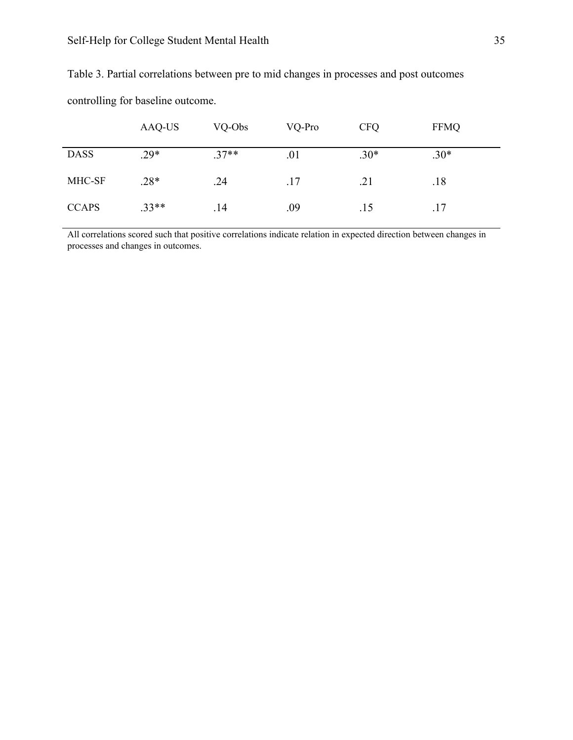|              | AAQ-US  | VQ-Obs  | VQ-Pro | <b>CFQ</b> | <b>FFMQ</b> |
|--------------|---------|---------|--------|------------|-------------|
| <b>DASS</b>  | $.29*$  | $.37**$ | .01    | $.30*$     | $.30*$      |
| MHC-SF       | $.28*$  | .24     | .17    | .21        | .18         |
| <b>CCAPS</b> | $.33**$ | .14     | .09    | .15        | .17         |

Table 3. Partial correlations between pre to mid changes in processes and post outcomes

controlling for baseline outcome.

All correlations scored such that positive correlations indicate relation in expected direction between changes in processes and changes in outcomes.